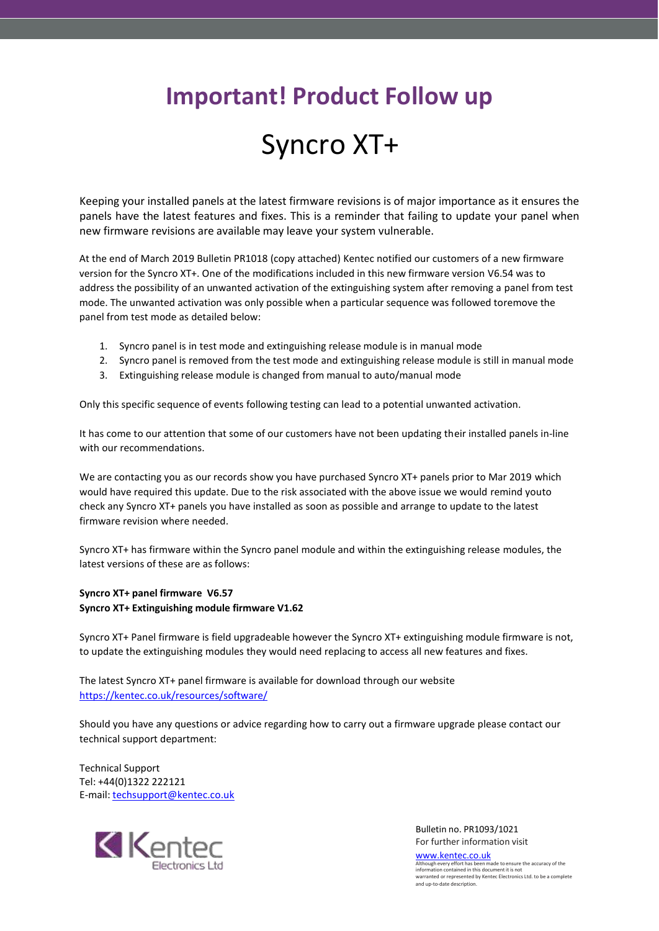# **Important! Product Follow up**

### Syncro XT+

Keeping your installed panels at the latest firmware revisions is of major importance as it ensures the panels have the latest features and fixes. This is a reminder that failing to update your panel when new firmware revisions are available may leave your system vulnerable.

At the end of March 2019 Bulletin PR1018 (copy attached) Kentec notified our customers of a new firmware version for the Syncro XT+. One of the modifications included in this new firmware version V6.54 was to address the possibility of an unwanted activation of the extinguishing system after removing a panel from test mode. The unwanted activation was only possible when a particular sequence was followed toremove the panel from test mode as detailed below:

- 1. Syncro panel is in test mode and extinguishing release module is in manual mode
- 2. Syncro panel is removed from the test mode and extinguishing release module is still in manual mode
- 3. Extinguishing release module is changed from manual to auto/manual mode

Only this specific sequence of events following testing can lead to a potential unwanted activation.

It has come to our attention that some of our customers have not been updating their installed panels in-line with our recommendations.

We are contacting you as our records show you have purchased Syncro XT+ panels prior to Mar 2019 which would have required this update. Due to the risk associated with the above issue we would remind youto check any Syncro XT+ panels you have installed as soon as possible and arrange to update to the latest firmware revision where needed.

Syncro XT+ has firmware within the Syncro panel module and within the extinguishing release modules, the latest versions of these are as follows:

#### **Syncro XT+ panel firmware V6.57 Syncro XT+ Extinguishing module firmware V1.62**

Syncro XT+ Panel firmware is field upgradeable however the Syncro XT+ extinguishing module firmware is not, to update the extinguishing modules they would need replacing to access all new features and fixes.

The latest Syncro XT+ panel firmware is available for download through our website <https://kentec.co.uk/resources/software/>

Should you have any questions or advice regarding how to carry out a firmware upgrade please contact our technical support department:

Technical Support Tel: +44(0)1322 222121 E-mail: [techsupport@kentec.co.uk](mailto:techsupport@kentec.co.uk)



Bulletin no. PR1093/1021 For further information visit

WWW.KENTEC.CO.UK<br>Although every effort has been made to ensure the accuracy of the Although every effort has been made to ensure the accuracy of the information contained in this document it is not warranted or represented by Kentec Electronics Ltd. to be a complete and up-to-date description.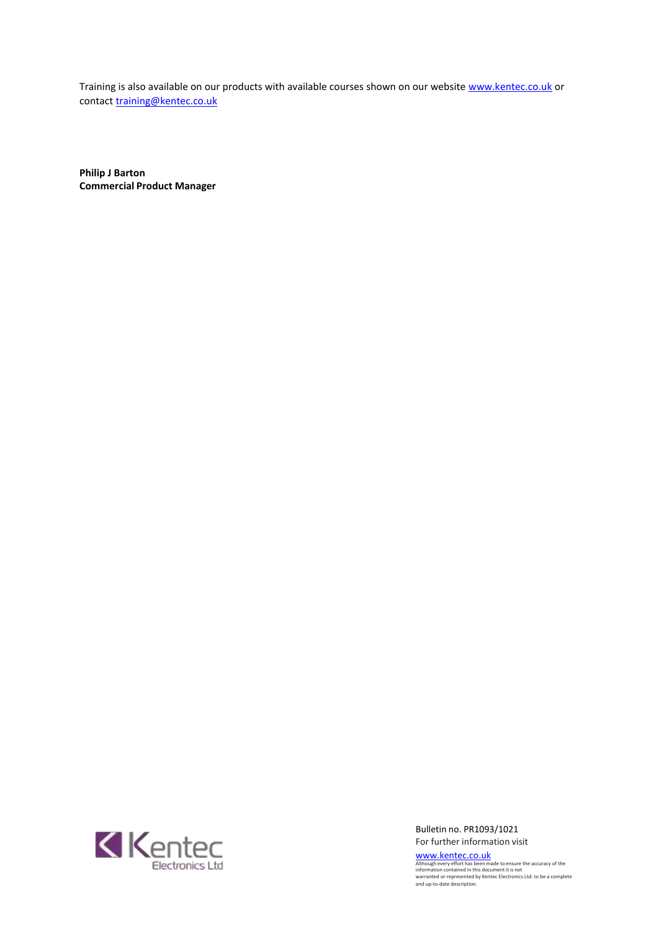Training is also available on our products with available courses shown on our website [www.kentec.co.uk](http://www.kentec.co.uk/) or contact [training@kentec.co.uk](mailto:training@kentec.co.uk)

**Philip J Barton Commercial Product Manager**



Bulletin no. PR1093/1021 For further information visit

WWW. **kentec.co.uk**<br>Although every effort has been made to ensure the accuracy of the<br>information contained in this document it is not<br>warranted or represented by Kentec Electronics Ltd. to be a complete<br>and up-to-date des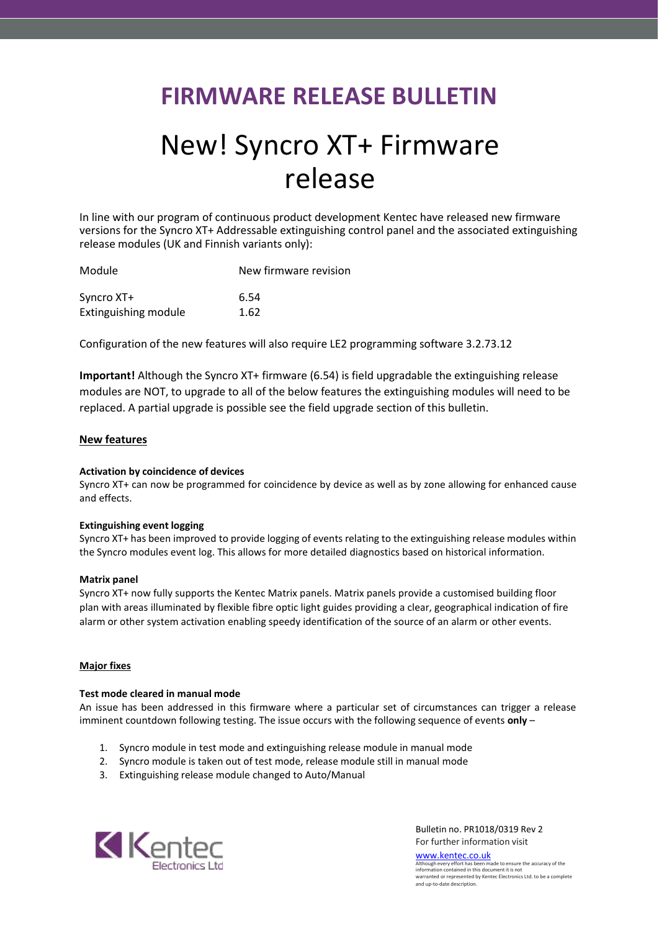### **FIRMWARE RELEASE BULLETIN**

## New! Syncro XT+ Firmware release

In line with our program of continuous product development Kentec have released new firmware versions for the Syncro XT+ Addressable extinguishing control panel and the associated extinguishing release modules (UK and Finnish variants only):

| Module               | New firmware revision |
|----------------------|-----------------------|
| Syncro XT+           | 6.54                  |
| Extinguishing module | 1.62                  |

Configuration of the new features will also require LE2 programming software 3.2.73.12

**Important!** Although the Syncro XT+ firmware (6.54) is field upgradable the extinguishing release modules are NOT, to upgrade to all of the below features the extinguishing modules will need to be replaced. A partial upgrade is possible see the field upgrade section of this bulletin.

#### **New features**

#### **Activation by coincidence of devices**

Syncro XT+ can now be programmed for coincidence by device as well as by zone allowing for enhanced cause and effects.

#### **Extinguishing event logging**

Syncro XT+ has been improved to provide logging of events relating to the extinguishing release modules within the Syncro modules event log. This allows for more detailed diagnostics based on historical information.

#### **Matrix panel**

Syncro XT+ now fully supports the Kentec Matrix panels. Matrix panels provide a customised building floor plan with areas illuminated by flexible fibre optic light guides providing a clear, geographical indication of fire alarm or other system activation enabling speedy identification of the source of an alarm or other events.

#### **Major fixes**

#### **Test mode cleared in manual mode**

An issue has been addressed in this firmware where a particular set of circumstances can trigger a release imminent countdown following testing. The issue occurs with the following sequence of events **only** –

- 1. Syncro module in test mode and extinguishing release module in manual mode
- 2. Syncro module is taken out of test mode, release module still in manual mode
- 3. Extinguishing release module changed to Auto/Manual



Bulletin no. PR1018/0319 Rev 2 For further information visit

WWW.KENTEC.CO.UK<br>Although every effort has been made to ensure the accuracy of the<br>information contained in this document it is not Although every effort has been made to ensure the accuracy of the information contained in this document it is not warranted or represented by Kentec Electronics Ltd. to be a complete and up-to-date description.